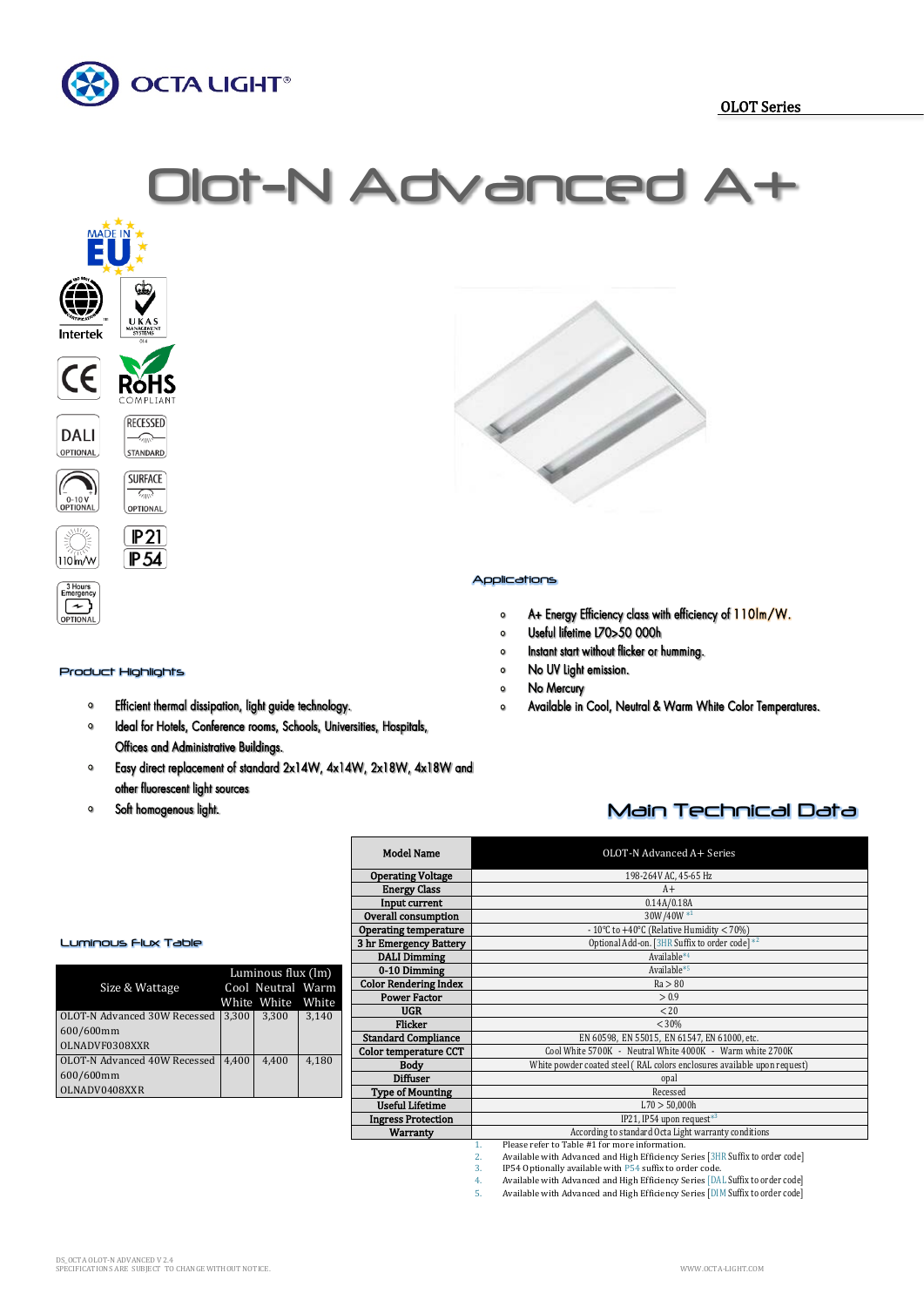

# Olot-N Advanced



## Product Highlights

nergenc  $\Gamma$ 

- Efficient thermal dissipation, light guide technology.  $\mathbf 0$
- Ideal for Hotels, Conference rooms, Schools, Universities, Hospitals,  $\circ$ Offices and Administrative Buildings.
- $\bullet$ Easy direct replacement of standard 2x14W, 4x14W, 2x18W, 4x18W and other fluorescent light sources

Г

Soft homogenous light.  $\circ$ 



## Applications

- A+ Energy Efficiency class with efficiency of 110lm/W.  $\circ$
- Useful lifetime L70>50 000h  $\circ$
- Instant start without flicker or humming.  $\circ$
- No UV Light emission.  $\mathbf{o}$
- $\circ$ No Mercury
- Available in Cool, Neutral & Warm White Color Temperatures.  $\circ$

# Main Technical Data

| <b>Model Name</b>            | OLOT-N Advanced A+ Series                                                           |  |  |  |  |
|------------------------------|-------------------------------------------------------------------------------------|--|--|--|--|
| <b>Operating Voltage</b>     | 198-264V AC, 45-65 Hz                                                               |  |  |  |  |
| <b>Energy Class</b>          | $A+$                                                                                |  |  |  |  |
| Input current                | 0.14A/0.18A                                                                         |  |  |  |  |
| Overall consumption          | 30W/40W*1                                                                           |  |  |  |  |
| <b>Operating temperature</b> | - 10°C to +40°C (Relative Humidity $<$ 70%)                                         |  |  |  |  |
| 3 hr Emergency Battery       | Optional Add-on. [3HR Suffix to order code] *2                                      |  |  |  |  |
| <b>DALI Dimming</b>          | Available*4                                                                         |  |  |  |  |
| 0-10 Dimming                 | Available*5                                                                         |  |  |  |  |
| <b>Color Rendering Index</b> | Ra > 80                                                                             |  |  |  |  |
| <b>Power Factor</b>          | > 0.9                                                                               |  |  |  |  |
| <b>UGR</b>                   | < 20                                                                                |  |  |  |  |
| Flicker                      | < 30%                                                                               |  |  |  |  |
| <b>Standard Compliance</b>   | EN 60598, EN 55015, EN 61547, EN 61000, etc.                                        |  |  |  |  |
| <b>Color temperature CCT</b> | Cool White 5700K - Neutral White 4000K - Warm white 2700K                           |  |  |  |  |
| <b>Body</b>                  | White powder coated steel (RAL colors enclosures available upon request)            |  |  |  |  |
| <b>Diffuser</b>              | opal                                                                                |  |  |  |  |
| <b>Type of Mounting</b>      | Recessed                                                                            |  |  |  |  |
| <b>Useful Lifetime</b>       | L70 > 50,000h                                                                       |  |  |  |  |
| <b>Ingress Protection</b>    | IP21, IP54 upon request*3                                                           |  |  |  |  |
| Warranty                     | According to standard Octa Light warranty conditions                                |  |  |  |  |
|                              | Please refer to Table #1 for more information.<br>$\mathbf{1}$ .                    |  |  |  |  |
|                              | Available with Advanced and High Efficiency Series [3HR Suffix to order code]<br>2. |  |  |  |  |
|                              | IP54 Optionally available with P54 suffix to order code.<br>3.                      |  |  |  |  |
|                              | Available with Advanced and High Efficiency Series [DAL Suffix to order code]<br>4. |  |  |  |  |

5. Available with Advanced and High Efficiency Series [DIM Suffix to order code]

### Luminous Flux Table

| Size & Wattage               | Luminous flux (lm)<br>Cool Neutral Warm<br>White White<br>White |       |       |
|------------------------------|-----------------------------------------------------------------|-------|-------|
| OLOT-N Advanced 30W Recessed | 3.300                                                           | 3,300 | 3,140 |
| 600/600mm                    |                                                                 |       |       |
| OLNADVF0308XXR               |                                                                 |       |       |
| OLOT-N Advanced 40W Recessed | 4.400                                                           | 4.400 | 4.180 |
| 600/600mm                    |                                                                 |       |       |
| OLNADV0408XXR                |                                                                 |       |       |